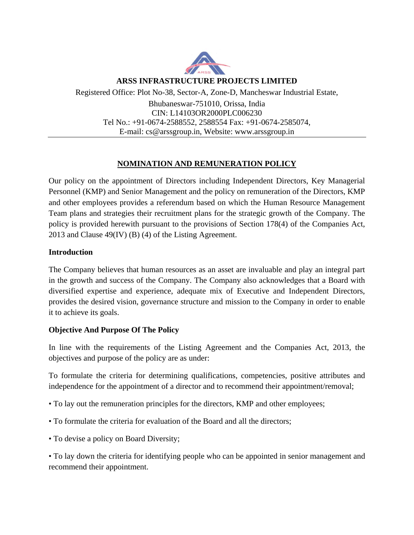

#### **ARSS INFRASTRUCTURE PROJECTS LIMITED**

Registered Office: Plot No-38, Sector-A, Zone-D, Mancheswar Industrial Estate,

Bhubaneswar-751010, Orissa, India CIN: L14103OR2000PLC006230 Tel No.: +91-0674-2588552, 2588554 Fax: +91-0674-2585074, E-mail: cs@arssgroup.in, Website: www.arssgroup.in

# **NOMINATION AND REMUNERATION POLICY**

Our policy on the appointment of Directors including Independent Directors, Key Managerial Personnel (KMP) and Senior Management and the policy on remuneration of the Directors, KMP and other employees provides a referendum based on which the Human Resource Management Team plans and strategies their recruitment plans for the strategic growth of the Company. The policy is provided herewith pursuant to the provisions of Section 178(4) of the Companies Act, 2013 and Clause 49(IV) (B) (4) of the Listing Agreement.

#### **Introduction**

The Company believes that human resources as an asset are invaluable and play an integral part in the growth and success of the Company. The Company also acknowledges that a Board with diversified expertise and experience, adequate mix of Executive and Independent Directors, provides the desired vision, governance structure and mission to the Company in order to enable it to achieve its goals.

#### **Objective And Purpose Of The Policy**

In line with the requirements of the Listing Agreement and the Companies Act, 2013, the objectives and purpose of the policy are as under:

To formulate the criteria for determining qualifications, competencies, positive attributes and independence for the appointment of a director and to recommend their appointment/removal;

- To lay out the remuneration principles for the directors, KMP and other employees;
- To formulate the criteria for evaluation of the Board and all the directors;
- To devise a policy on Board Diversity;

• To lay down the criteria for identifying people who can be appointed in senior management and recommend their appointment.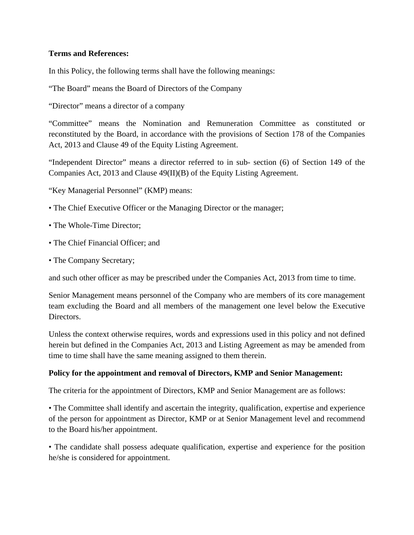## **Terms and References:**

In this Policy, the following terms shall have the following meanings:

"The Board" means the Board of Directors of the Company

"Director" means a director of a company

"Committee" means the Nomination and Remuneration Committee as constituted or reconstituted by the Board, in accordance with the provisions of Section 178 of the Companies Act, 2013 and Clause 49 of the Equity Listing Agreement.

"Independent Director" means a director referred to in sub- section (6) of Section 149 of the Companies Act, 2013 and Clause 49(II)(B) of the Equity Listing Agreement.

"Key Managerial Personnel" (KMP) means:

- The Chief Executive Officer or the Managing Director or the manager;
- The Whole-Time Director;
- The Chief Financial Officer; and
- The Company Secretary;

and such other officer as may be prescribed under the Companies Act, 2013 from time to time.

Senior Management means personnel of the Company who are members of its core management team excluding the Board and all members of the management one level below the Executive Directors.

Unless the context otherwise requires, words and expressions used in this policy and not defined herein but defined in the Companies Act, 2013 and Listing Agreement as may be amended from time to time shall have the same meaning assigned to them therein.

#### **Policy for the appointment and removal of Directors, KMP and Senior Management:**

The criteria for the appointment of Directors, KMP and Senior Management are as follows:

• The Committee shall identify and ascertain the integrity, qualification, expertise and experience of the person for appointment as Director, KMP or at Senior Management level and recommend to the Board his/her appointment.

• The candidate shall possess adequate qualification, expertise and experience for the position he/she is considered for appointment.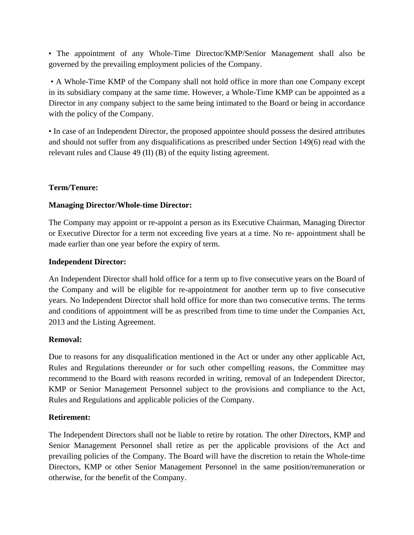• The appointment of any Whole-Time Director/KMP/Senior Management shall also be governed by the prevailing employment policies of the Company.

 • A Whole-Time KMP of the Company shall not hold office in more than one Company except in its subsidiary company at the same time. However, a Whole-Time KMP can be appointed as a Director in any company subject to the same being intimated to the Board or being in accordance with the policy of the Company.

• In case of an Independent Director, the proposed appointee should possess the desired attributes and should not suffer from any disqualifications as prescribed under Section 149(6) read with the relevant rules and Clause 49 (II) (B) of the equity listing agreement.

# **Term/Tenure:**

## **Managing Director/Whole-time Director:**

The Company may appoint or re-appoint a person as its Executive Chairman, Managing Director or Executive Director for a term not exceeding five years at a time. No re- appointment shall be made earlier than one year before the expiry of term.

#### **Independent Director:**

An Independent Director shall hold office for a term up to five consecutive years on the Board of the Company and will be eligible for re-appointment for another term up to five consecutive years. No Independent Director shall hold office for more than two consecutive terms. The terms and conditions of appointment will be as prescribed from time to time under the Companies Act, 2013 and the Listing Agreement.

#### **Removal:**

Due to reasons for any disqualification mentioned in the Act or under any other applicable Act, Rules and Regulations thereunder or for such other compelling reasons, the Committee may recommend to the Board with reasons recorded in writing, removal of an Independent Director, KMP or Senior Management Personnel subject to the provisions and compliance to the Act, Rules and Regulations and applicable policies of the Company.

# **Retirement:**

The Independent Directors shall not be liable to retire by rotation. The other Directors, KMP and Senior Management Personnel shall retire as per the applicable provisions of the Act and prevailing policies of the Company. The Board will have the discretion to retain the Whole-time Directors, KMP or other Senior Management Personnel in the same position/remuneration or otherwise, for the benefit of the Company.